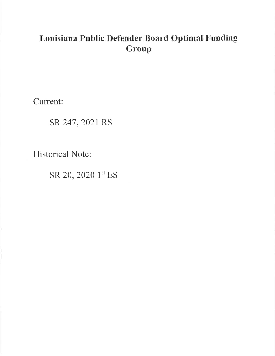# Louisiana Public Defender Board Optimal Funding Group

Current:

SR 247, 2021 RS

**Historical Note:** 

SR 20, 2020 1st ES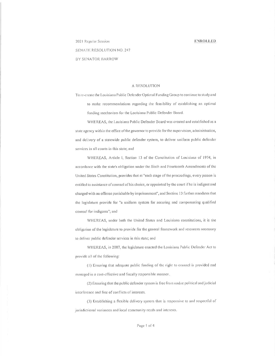#### **ENROLLED**

2021 Regular Session

# SENATE RESOLUTION NO. 247

BY SENATOR BARROW

#### A RESOLUTION

To re-create the Louisiana Public Defender Optimal Funding Group to continue to study and to make recommendations regarding the feasibility of establishing an optimal funding mechanism for the Louisiana Public Defender Board.

WHEREAS, the Louisiana Public Defender Board was created and established as a state agency within the office of the governor to provide for the supervision, administration, and delivery of a statewide public defender system, to deliver uniform public defender services in all courts in this state; and

WHEREAS, Article I, Section 13 of the Constitution of Louisiana of 1974, in accordance with the state's obligation under the Sixth and Fourteenth Amendments of the United States Constitution, provides that at "each stage of the proceedings, every person is entitled to assistance of counsel of his choice, or appointed by the court if he is indigent and charged with an offense punishable by imprisonment", and Section 13 further mandates that the legislature provide for "a uniform system for securing and compensating qualified counsel for indigents"; and

WHEREAS, under both the United States and Louisiana constitutions, it is the obligation of the legislature to provide for the general framework and resources necessary to deliver public defender services in this state; and

WHEREAS, in 2007, the legislature enacted the Louisiana Public Defender Act to provide all of the following:

(1) Ensuring that adequate public funding of the right to counsel is provided and managed in a cost-effective and fiscally responsible manner.

(2) Ensuring that the public defender system is free from undue political and judicial interference and free of conflicts of interests.

(3) Establishing a flexible delivery system that is responsive to and respectful of jurisdictional variances and local community needs and interests.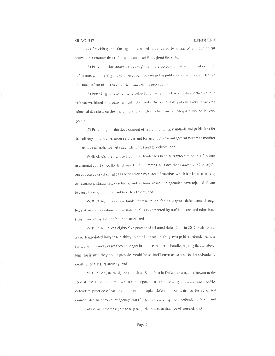#### ENROLLED

(4) Providing that the right to counsel is delivered by qualified and competent counsel in a manner that is fair and consistent throughout the state.

(5) Providing for statewide oversight with the objective that all indigent criminal defendants who are eligible to have appointed counsel at public expense receive effective assistance of counsel at each critical stage of the proceeding.

(6) Providing for the ability to collect and verify objective statistical data on public defense workload and other critical data needed to assist state policymakers in making informed decisions on the appropriate funding levels to ensure an adequate service delivery system.

(7) Providing for the development of uniform binding standards and guidelines for the delivery of public defender services and for an effective management system to monitor and enforce compliance with such standards and guidelines; and

WHEREAS, the right to a public defender has been guaranteed to poor defendants in criminal court since the landmark 1963 Supreme Court decision Gideon v. Wainwright, but advocates say that right has been eroded by a lack of funding, which has led to a scarcity of resources, staggering caseloads, and in some cases, the agencies have rejected clients because they could not afford to defend them; and

WHEREAS, Louisiana funds representation for noncapital defendants through legislative appropriations at the state level, supplemented by traffic tickets and other local fines assessed by each defender district; and

WHEREAS, about eighty-five percent of criminal defendants in 2016 qualified for a court-appointed lawyer and thirty-three of the state's forty-two public defender offices started turning away cases they no longer had the resources to handle, arguing that whatever legal assistance they could provide would be so ineffective as to violate the defendant's constitutional rights anyway; and

WHEREAS, in 2016, the Louisiana State Public Defender was a defendant in the federal case Yarls v. Bunton, which challenged the constitutionality of the Louisiana public defenders' practice of placing indigent, noncapital defendants on wait lists for appointed counsel due to chronic budgetary shortfalls, thus violating poor defendants' Sixth and Fourteenth Amendments rights to a speedy trial and to assistance of counsel; and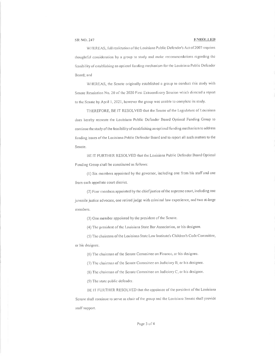#### **ENROLLED**

WHEREAS, full realization of the Louisiana Public Defender's Act of 2007 requires thoughtful consideration by a group to study and make recommendations regarding the feasibility of establishing an optimal funding mechanism for the Louisiana Public Defender Board; and

WHEREAS, the Senate originally established a group to conduct this study with Senate Resolution No. 20 of the 2020 First Extraordinary Session which directed a report to the Scnate by April 1, 2021, however the group was unable to complete its study.

THEREFORE, BE IT RESOLVED that the Senate of the Legislature of Louisiana does hereby recreate the Louisiana Public Defender Board Optimal Funding Group to continue the study of the feasibility of establishing an optimal funding mechanism to address funding issues of the Louisiana Public Defender Board and to report all such matters to the Senate.

BE IT FURTHER RESOLVED that the Louisiana Public Defender Board Optimal Funding Group shall be constituted as follows:

(1) Six members appointed by the governor, including one from his staff and one from each appellate court district.

(2) Four members appointed by the chief justice of the supreme court, including one juvenile justice advocate, one retired judge with criminal law experience, and two at-large members.

(3) One member appointed by the president of the Senate.

(4) The president of the Louisiana State Bar Association, or his designee.

(5) The chairman of the Louisiana State Law Institute's Children's Code Committee,

#### or his designee.

(6) The chairman of the Senate Committee on Finance, or his designee.

(7) The chairman of the Senate Committee on Judiciary B, or his designee.

(8) The chairman of the Senate Committee on Judiciary C, or his designee.

(9) The state public defender.

BE IT FURTHER RESOLVED that the appointee of the president of the Louisiana Senate shall continue to serve as chair of the group and the Louisiana Senate shall provide staff support.

#### Page 3 of 4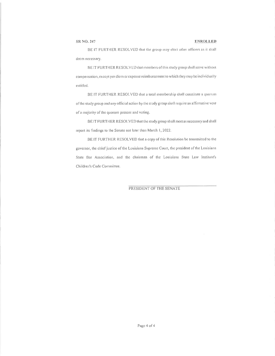#### ENROLLED

BE IT FURTHER RESOLVED that the group may elect other officers as it shall deem necessary.

BE IT FURTHER RESOLVED that members of this study group shall serve without compensation, except per diem or expense reimbursement to which they may be individually entitled.

BE IT FURTHER RESOLVED that a total membership shall constitute a quorum of the study group and any official action by the study group shall require an affirmative vote of a majority of the quorum present and voting.

BEIT FURTHER RESOLVED that the study group shall meet as necessary and shall report its findings to the Senate not later than March 1, 2022.

BE IT FURTHER RESOLVED that a copy of this Resolution be transmitted to the governor, the chief justice of the Louisiana Supreme Court, the president of the Louisiana State Bar Association, and the chairman of the Louisiana State Law Institute's Children's Code Committee.

PRESIDENT OF THE SENATE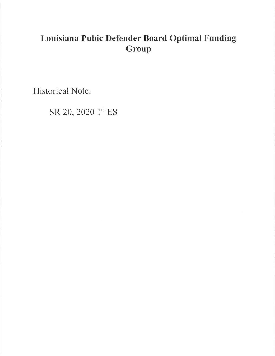# Louisiana Pubic Defender Board Optimal Funding Group

**Historical Note:** 

SR 20, 2020 1st ES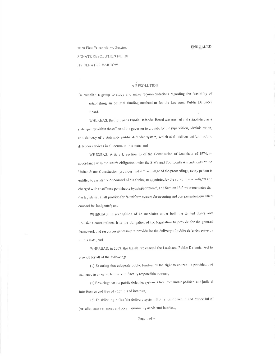#### **ENROLLED**

2020 First Extraordinary Session SENATE RESOLUTION NO. 20 BY SENATOR BARROW

#### A RESOLUTION

To establish a group to study and make recommendations regarding the feasibility of establishing an optimal funding mechanism for the Louisiana Public Defender Board.

WHEREAS, the Louisiana Public Defender Board was created and established as a state agency within the office of the governor to provide for the supervision, administration, and delivery of a statewide public defender system, which shall deliver uniform public defender services in all courts in this state; and

WHEREAS, Article I, Section 13 of the Constitution of Louisiana of 1974, in accordance with the state's obligation under the Sixth and Fourteenth Amendments of the United States Constitution, provides that at "each stage of the proceedings, every person is entitled to assistance of counsel of his choice, or appointed by the court if he is indigent and charged with an offense punishable by imprisonment", and Section 13 further mandates that the legislature shall provide for "a uniform system for securing and compensating qualified counsel for indigents"; and

WHEREAS, in recognition of its mandates under both the United States and Louisiana constitutions, it is the obligation of the legislature to provide for the general framework and resources necessary to provide for the delivery of public defender services in this state; and

WHEREAS, in 2007, the legislature enacted the Louisiana Public Defender Act to provide for all of the following:

(1) Ensuring that adequate public funding of the right to counsel is provided and managed in a cost-effective and fiscally responsible manner,

(2) Ensuring that the public defender system is free from undue political and judicial interference and free of conflicts of interests,

(3) Establishing a flexible delivery system that is responsive to and respectful of jurisdictional variances and local community needs and interests,

Page 1 of 4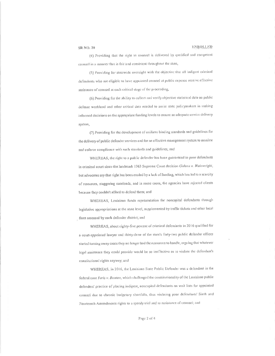# ENROLLED

(4) Providing that the right to counsel is delivered by qualified and competent counsel in a manner that is fair and consistent throughout the state,

(5) Providing for statewide oversight with the objective that all indigent criminal defendants who are eligible to have appointed counsel at public expense receive effective assistance of counsel at each critical stage of the proceeding,

(6) Providing for the ability to collect and verify objective statistical data on public defense workload and other critical data needed to assist state policymakers in making informed decisions on the appropriate funding levels to ensure an adequate service delivery system,

(7) Providing for the development of uniform binding standards and guidelines for the delivery of public defender services and for an effective management system to monitor and enforce compliance with such standards and guidelines; and

WHEREAS, the right to a public defender has been guaranteed to poor defendants in criminal court since the landmark 1963 Supreme Court decision Gideon v. Wainwright, but advocates say that right has been eroded by a lack of funding, which has led to a scarcity of resources, staggering caseloads, and in some cases, the agencies have rejected clients because they couldn't afford to defend them; and

WHEREAS, Louisiana funds representation for noncapital defendants through legislative appropriations at the state level, supplemented by traffic tickets and other local fines assessed by each defender district; and

WHEREAS, about eighty-five percent of criminal defendants in 2016 qualified for a court-appointed lawyer and thirty-three of the state's forty-two public defender offices started turning away cases they no longer had the resources to handle, arguing that whatever legal assistance they could provide would be so ineffective as to violate the defendant's constitutional rights anyway; and

WHEREAS, in 2016, the Louisiana State Public Defender was a defendant in the federal case Yarls v. Bunton, which challenged the constitutionality of the Louisiana public defendels' practice of placing indigent, noncapital defendants on wait lists for appointed counsel due to chronic budgetary shortfalls, thus violating poor defendants' Sixth and Fourteenth Amendments rights to a speedy trial and to assistance of counsel; and

Page 2 of 4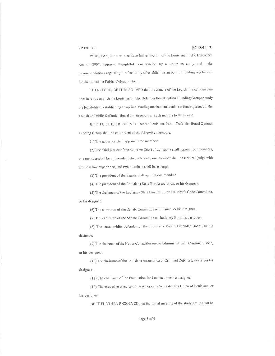## **ENROLLED**

WHEREAS, in order to achieve full realization of the Louisiana Public Defender's Act of 2007, requires thoughtful consideration by a group to study and make recommendations regarding the feasibility of establishing an optimal funding mechanism for the Louisiana Public Defender Board.

THEREFORE, BE IT RESOLVED that the Scnate of the Legislature of Louisiana does hereby establish the Louisiana Public Defender Board Optimal Funding Group to study the feasibility of establishing an optimal funding mechanism to address funding issues of the Louisiana Public Defender Board and to report all such matters to the Senate.

BE IT FURTHER RESOLVED that the Louisiana Public Defender Board Optimal Funding Group shall be comprised of the following members:

(1) The governor shall appoint three members.

(2) The chief justice of the Supreme Court of Louisiana shall appoint four members, one member shall be a juvenile justice advocate, one member shall be a retired judge with criminal law experience, and two members shall be at-large.

(3) The president of the Senate shall appoint one member.

(4) The president of the Louisiana State Bar Association, or his designee.

(5) The chairman of the Louisiana State Law Institute's Children's Code Committee, or his designee.

(6) The chairman of the Senate Committee on Finance, or his designee.

(7) The chairman of the Senate Committee on Judiciary B, or his designee.

(8) The state public defender of the Louisiana Public Defender Board, or his designee.

(9) The chairman of the House Committee on the Administration of Criminal Justice, or his designee.

(10) The chairman of the Louisiana Association of Criminal Defense Lawyers, or his designee.

(11) The chairman of the Foundation for Louisiana, or his designee.

(12) The executive director of the American Civil Liberties Union of Louisiana, or his designee.

BE IT FURTHER RESOLVED that the initial meeting of the study group shall be